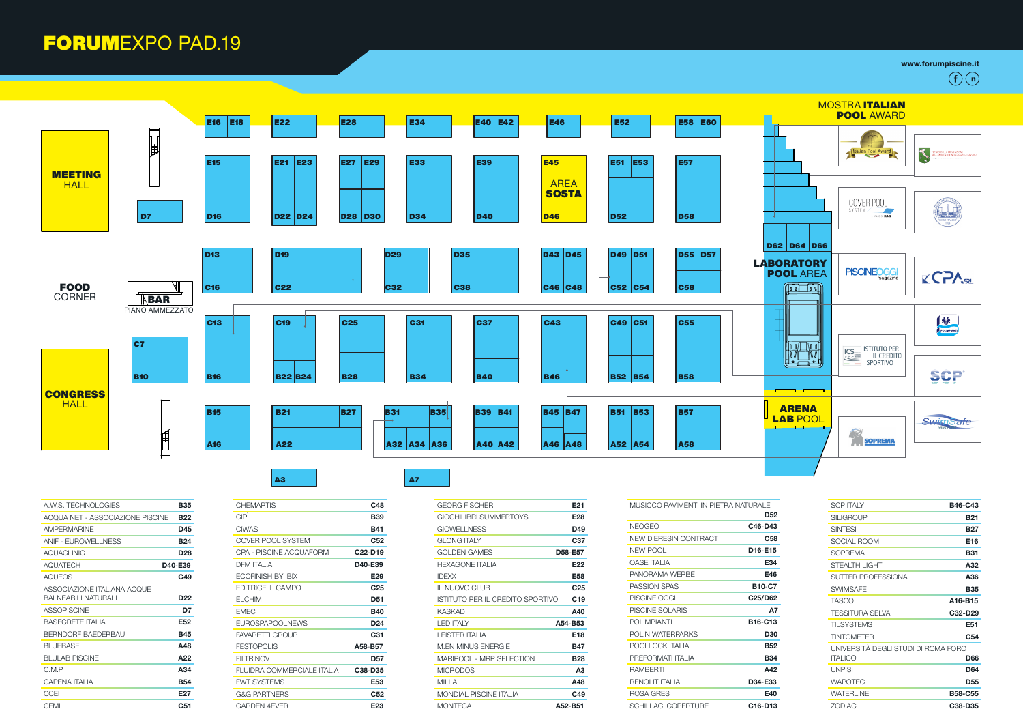www.forumpiscine.it

| A.W.S. TECHNOLOGIES                                  | <b>B35</b>                       |
|------------------------------------------------------|----------------------------------|
| ACQUA NET - ASSOCIAZIONE PISCINE                     | <b>B</b> 22                      |
| <b>AMPFRMARINF</b>                                   | D45                              |
| <b>ANIF - EUROWELLNESS</b>                           | <b>B24</b>                       |
| <b>AQUACLINIC</b>                                    | <b>D28</b>                       |
| <b>AQUATECH</b>                                      | D <sub>40</sub> -E <sub>39</sub> |
| AQUEOS                                               | C49                              |
| ASSOCIAZIONE ITALIANA ACQUE<br>RAI NFARII I NATURALI | D <sub>22</sub>                  |
| <b>ASSOPISCINE</b>                                   | D7                               |
| <b>BASECRETE ITALIA</b>                              | E52                              |
| <b>BERNDORE BAEDERBAU</b>                            | <b>B45</b>                       |
| <b>BLUEBASE</b>                                      | A48                              |
| BLULAB PISCINE                                       | A22                              |
| C.M.P.                                               | A34                              |
| CAPENA ITAI IA                                       | <b>B54</b>                       |
| <b>CCEI</b>                                          | E27                              |
| CEMI                                                 | C <sub>51</sub>                  |

| C48                              |
|----------------------------------|
| <b>B39</b>                       |
| <b>B41</b>                       |
| C <sub>52</sub>                  |
| C <sub>22</sub> -D <sub>19</sub> |
| D40-E39                          |
| E <sub>29</sub>                  |
| C <sub>25</sub>                  |
| D <sub>51</sub>                  |
| <b>B40</b>                       |
| D <sub>24</sub>                  |
| C31                              |
| A58-B57                          |
| <b>D57</b>                       |
| C <sub>38</sub> -D <sub>35</sub> |
| E53                              |
| C <sub>52</sub>                  |
| E23                              |
|                                  |

| GFORG FISCHFR                    | E21             |
|----------------------------------|-----------------|
| GIOCHILIBRI SUMMERTOYS           | E <sub>28</sub> |
| GIOWELL NESS                     | D49             |
| GI ONG ITAI Y                    | C37             |
| GOI DEN GAMES                    | D58-E57         |
| HEXAGONE ITAI IA                 | E <sub>22</sub> |
| <b>IDEXX</b>                     | F58             |
| IL NUOVO CLUB                    | C <sub>25</sub> |
| ISTITUTO PER IL CREDITO SPORTIVO | C <sub>19</sub> |
| KASKAD                           | A40             |
| I ED ITAI Y                      | A54-B53         |
| I FISTER ITAI IA                 | <b>F18</b>      |
| M EN MINUS ENFRGIE               | <b>B47</b>      |
| MARIPOOL - MRP SELECTION         | <b>B28</b>      |
| <b>MICRODOS</b>                  | A3              |
| MII I A                          | A48             |
| MONDIAI PISCINE ITAI IA          | C49             |
| MONTEGA                          | A52-B51         |
|                                  |                 |

| MUSICCO PAVIMENTI IN PIETRA NATURALE |                 | <b>SCP ITALY</b>                    | <b>B46-C43</b>  |
|--------------------------------------|-----------------|-------------------------------------|-----------------|
|                                      | D <sub>52</sub> | <b>SILIGROUP</b>                    | <b>B21</b>      |
| <b>NEOGEO</b>                        | C46-D43         | <b>SINTESI</b>                      | <b>B27</b>      |
| <b>NEW DIERESIN CONTRACT</b>         | C <sub>58</sub> | <b>SOCIAL ROOM</b>                  | E16             |
| <b>NEW POOL</b>                      | D16-E15         | <b>SOPREMA</b>                      | <b>B31</b>      |
| <b>OASE ITALIA</b>                   | E34             | STEALTH LIGHT                       | A32             |
| PANORAMA WERBE                       | E46             | SUTTER PROFESSIONAL                 | A36             |
| <b>PASSION SPAS</b>                  | <b>B10-C7</b>   | <b>SWIMSAFE</b>                     | <b>B35</b>      |
| PISCINE OGGI                         | C25/D62         | <b>TASCO</b>                        | A16-B15         |
| PISCINE SOLARIS                      | <b>A7</b>       | TESSITURA SELVA                     | C32-D29         |
| <b>POLIMPIANTI</b>                   | B16-C13         | <b>TILSYSTEMS</b>                   | E51             |
| <b>POLIN WATERPARKS</b>              | <b>D30</b>      | <b>TINTOMETER</b>                   | C <sub>54</sub> |
| POOLLOCK ITALIA                      | <b>B52</b>      | UNIVERSITÀ DEGLI STUDI DI ROMA FORO |                 |
| PREFORMATI ITALIA                    | <b>B34</b>      | <b>ITALICO</b>                      | <b>D66</b>      |
| <b>RAMBERTI</b>                      | A42             | <b>UNPISI</b>                       | <b>D64</b>      |
| <b>RENOLIT ITALIA</b>                | D34-E33         | <b>WAPOTEC</b>                      | <b>D55</b>      |
| ROSA GRES                            | E40             | <b>WATERLINE</b>                    | <b>B58-C55</b>  |
| <b>SCHILLACI COPERTURE</b>           | C16-D13         | <b>ZODIAC</b>                       | C38-D35         |

|                                                                   |                                                             | $\hat{}$ in<br>f                                                  |
|-------------------------------------------------------------------|-------------------------------------------------------------|-------------------------------------------------------------------|
|                                                                   | <b>MOSTRA ITALIAN</b><br><b>POOL AWARD</b>                  |                                                                   |
|                                                                   | Italian Pool Award                                          | TECNICI DELLA PREVENZIONE<br>NELL'AMBIENTE E NEI LUOGHI DI LAVORO |
|                                                                   | COVER POOL<br>SYSTEM 2<br>A BRAND OF <b>ELSET</b>           | <b>THE BEAR</b><br>FORO ITALICO<br>1928                           |
| D62<br><b>D64</b><br><b>D66</b>                                   |                                                             |                                                                   |
| <b>BORATORY</b><br><b>POOL AREA</b><br>$\mathbf{0}$<br>$\sqrt{a}$ | <b>PISCINEOGGI</b><br>magazine                              | <b>ZCPASL</b>                                                     |
| 0<br>0                                                            | <b>ISTITUTO PER</b>                                         | ♦<br>POLIMPIANTI                                                  |
|                                                                   | $ICS_{\text{comm}}$<br><b>IL CREDITO</b><br><b>SPORTIVO</b> | <b>SCP</b>                                                        |
| <b>ARENA</b><br><b>LAB POOL</b>                                   | <b>SOPREMA</b>                                              | <b>SwimSafe</b><br>Safen,                                         |

## FORUMEXPO PAD.19